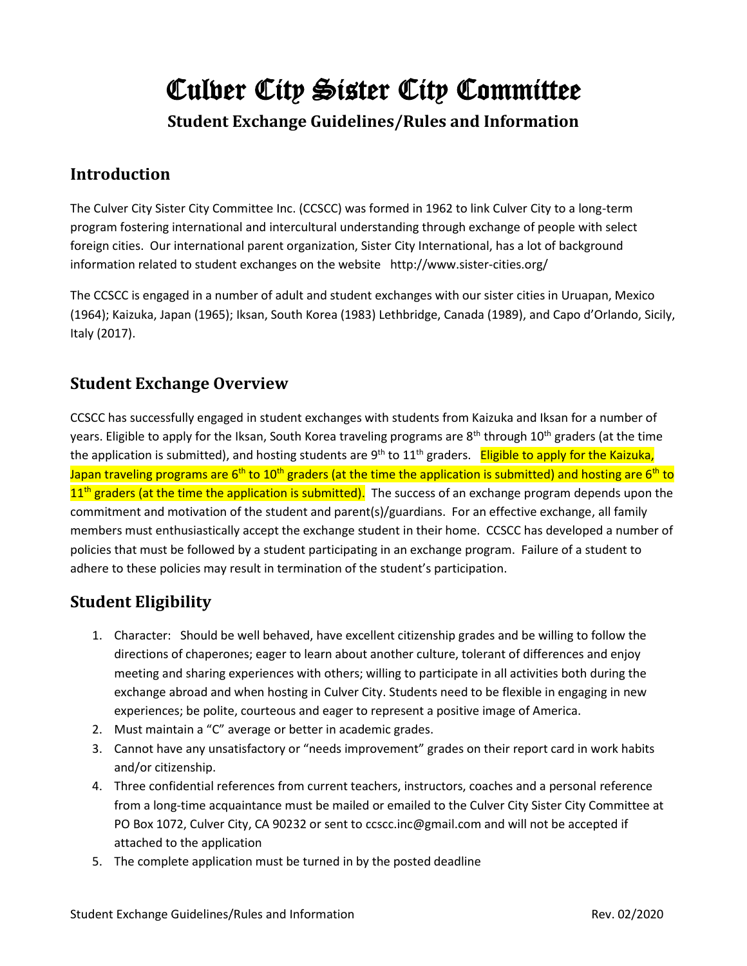# Culver City Sister City Committee

**Student Exchange Guidelines/Rules and Information**

#### **Introduction**

The Culver City Sister City Committee Inc. (CCSCC) was formed in 1962 to link Culver City to a long-term program fostering international and intercultural understanding through exchange of people with select foreign cities. Our international parent organization, Sister City International, has a lot of background information related to student exchanges on the website http://www.sister-cities.org/

The CCSCC is engaged in a number of adult and student exchanges with our sister cities in Uruapan, Mexico (1964); Kaizuka, Japan (1965); Iksan, South Korea (1983) Lethbridge, Canada (1989), and Capo d'Orlando, Sicily, Italy (2017).

## **Student Exchange Overview**

CCSCC has successfully engaged in student exchanges with students from Kaizuka and Iksan for a number of years. Eligible to apply for the Iksan, South Korea traveling programs are 8<sup>th</sup> through 10<sup>th</sup> graders (at the time the application is submitted), and hosting students are 9<sup>th</sup> to 11<sup>th</sup> graders. Eligible to apply for the Kaizuka, Japan traveling programs are 6<sup>th</sup> to 10<sup>th</sup> graders (at the time the application is submitted) and hosting are 6<sup>th</sup> to  $11<sup>th</sup>$  graders (at the time the application is submitted). The success of an exchange program depends upon the commitment and motivation of the student and parent(s)/guardians. For an effective exchange, all family members must enthusiastically accept the exchange student in their home. CCSCC has developed a number of policies that must be followed by a student participating in an exchange program. Failure of a student to adhere to these policies may result in termination of the student's participation.

# **Student Eligibility**

- 1. Character: Should be well behaved, have excellent citizenship grades and be willing to follow the directions of chaperones; eager to learn about another culture, tolerant of differences and enjoy meeting and sharing experiences with others; willing to participate in all activities both during the exchange abroad and when hosting in Culver City. Students need to be flexible in engaging in new experiences; be polite, courteous and eager to represent a positive image of America.
- 2. Must maintain a "C" average or better in academic grades.
- 3. Cannot have any unsatisfactory or "needs improvement" grades on their report card in work habits and/or citizenship.
- 4. Three confidential references from current teachers, instructors, coaches and a personal reference from a long-time acquaintance must be mailed or emailed to the Culver City Sister City Committee at PO Box 1072, Culver City, CA 90232 or sent to ccscc.inc@gmail.com and will not be accepted if attached to the application
- 5. The complete application must be turned in by the posted deadline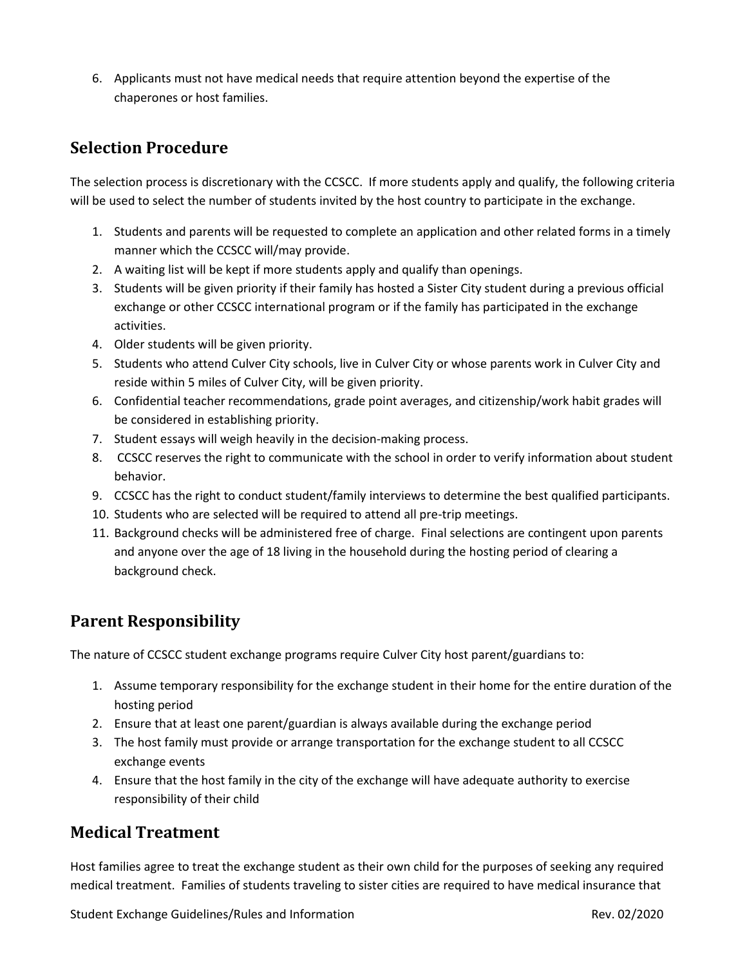6. Applicants must not have medical needs that require attention beyond the expertise of the chaperones or host families.

#### **Selection Procedure**

The selection process is discretionary with the CCSCC. If more students apply and qualify, the following criteria will be used to select the number of students invited by the host country to participate in the exchange.

- 1. Students and parents will be requested to complete an application and other related forms in a timely manner which the CCSCC will/may provide.
- 2. A waiting list will be kept if more students apply and qualify than openings.
- 3. Students will be given priority if their family has hosted a Sister City student during a previous official exchange or other CCSCC international program or if the family has participated in the exchange activities.
- 4. Older students will be given priority.
- 5. Students who attend Culver City schools, live in Culver City or whose parents work in Culver City and reside within 5 miles of Culver City, will be given priority.
- 6. Confidential teacher recommendations, grade point averages, and citizenship/work habit grades will be considered in establishing priority.
- 7. Student essays will weigh heavily in the decision-making process.
- 8. CCSCC reserves the right to communicate with the school in order to verify information about student behavior.
- 9. CCSCC has the right to conduct student/family interviews to determine the best qualified participants.
- 10. Students who are selected will be required to attend all pre-trip meetings.
- 11. Background checks will be administered free of charge. Final selections are contingent upon parents and anyone over the age of 18 living in the household during the hosting period of clearing a background check.

### **Parent Responsibility**

The nature of CCSCC student exchange programs require Culver City host parent/guardians to:

- 1. Assume temporary responsibility for the exchange student in their home for the entire duration of the hosting period
- 2. Ensure that at least one parent/guardian is always available during the exchange period
- 3. The host family must provide or arrange transportation for the exchange student to all CCSCC exchange events
- 4. Ensure that the host family in the city of the exchange will have adequate authority to exercise responsibility of their child

#### **Medical Treatment**

Host families agree to treat the exchange student as their own child for the purposes of seeking any required medical treatment. Families of students traveling to sister cities are required to have medical insurance that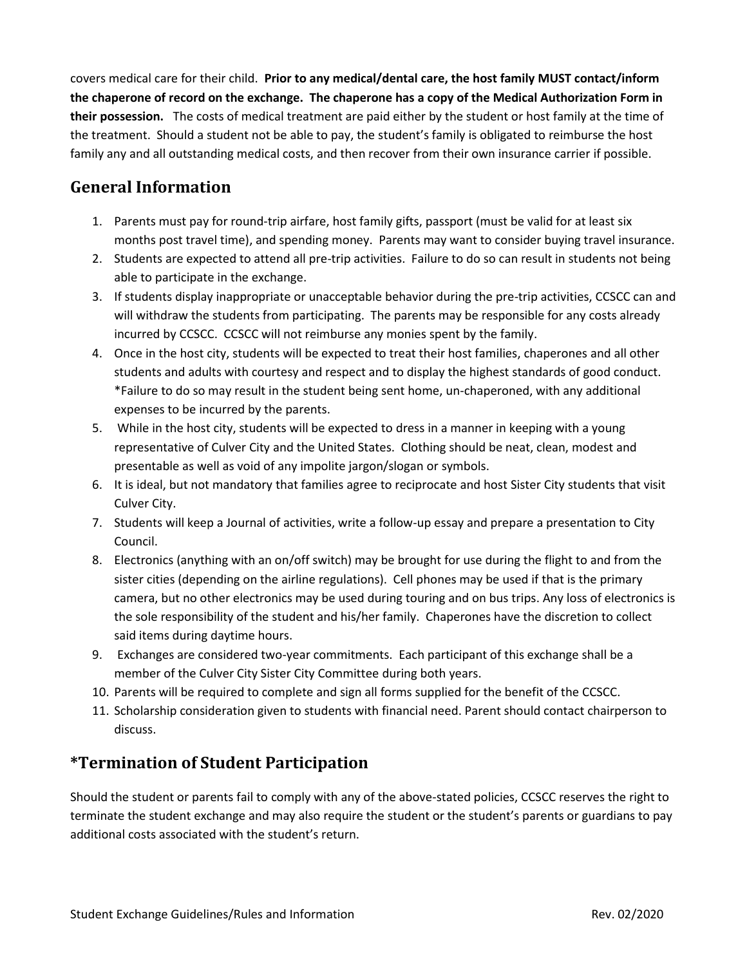covers medical care for their child. **Prior to any medical/dental care, the host family MUST contact/inform the chaperone of record on the exchange. The chaperone has a copy of the Medical Authorization Form in their possession.** The costs of medical treatment are paid either by the student or host family at the time of the treatment. Should a student not be able to pay, the student's family is obligated to reimburse the host family any and all outstanding medical costs, and then recover from their own insurance carrier if possible.

### **General Information**

- 1. Parents must pay for round-trip airfare, host family gifts, passport (must be valid for at least six months post travel time), and spending money. Parents may want to consider buying travel insurance.
- 2. Students are expected to attend all pre-trip activities. Failure to do so can result in students not being able to participate in the exchange.
- 3. If students display inappropriate or unacceptable behavior during the pre-trip activities, CCSCC can and will withdraw the students from participating. The parents may be responsible for any costs already incurred by CCSCC. CCSCC will not reimburse any monies spent by the family.
- 4. Once in the host city, students will be expected to treat their host families, chaperones and all other students and adults with courtesy and respect and to display the highest standards of good conduct. \*Failure to do so may result in the student being sent home, un-chaperoned, with any additional expenses to be incurred by the parents.
- 5. While in the host city, students will be expected to dress in a manner in keeping with a young representative of Culver City and the United States. Clothing should be neat, clean, modest and presentable as well as void of any impolite jargon/slogan or symbols.
- 6. It is ideal, but not mandatory that families agree to reciprocate and host Sister City students that visit Culver City.
- 7. Students will keep a Journal of activities, write a follow-up essay and prepare a presentation to City Council.
- 8. Electronics (anything with an on/off switch) may be brought for use during the flight to and from the sister cities (depending on the airline regulations). Cell phones may be used if that is the primary camera, but no other electronics may be used during touring and on bus trips. Any loss of electronics is the sole responsibility of the student and his/her family. Chaperones have the discretion to collect said items during daytime hours.
- 9. Exchanges are considered two-year commitments. Each participant of this exchange shall be a member of the Culver City Sister City Committee during both years.
- 10. Parents will be required to complete and sign all forms supplied for the benefit of the CCSCC.
- 11. Scholarship consideration given to students with financial need. Parent should contact chairperson to discuss.

# **\*Termination of Student Participation**

Should the student or parents fail to comply with any of the above-stated policies, CCSCC reserves the right to terminate the student exchange and may also require the student or the student's parents or guardians to pay additional costs associated with the student's return.